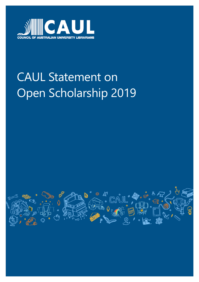

# CAUL Statement on Open Scholarship 2019

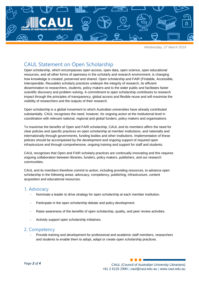

*Wednesday, 27 March 2019*

## CAUL Statement on Open Scholarship

Open scholarship, which encompasses open access, open data, open science, open educational resources, and all other forms of openness in the scholarly and research environment, is changing how knowledge is created, preserved and shared. Open scholarship and FAIR (Findable, Accessible, Interoperable, Reusable) scholarly practices underpin the integrity of research, its efficient dissemination to researchers, students, policy makers and to the wider public and facilitates faster scientific discovery and problem solving. A commitment to open scholarship contributes to research impact through the principles of transparency, global access and flexible reuse and will maximise the visibility of researchers and the outputs of their research.

Open scholarship is a global movement to which Australian universities have already contributed substantially. CAUL recognises the need, however, for ongoing action at the institutional level in coordination with relevant national, regional and global funders, policy makers and organisations.

To maximise the benefits of Open and FAIR scholarship, CAUL and its members affirm the need for clear policies and specific practices on open scholarship at member institutions, and nationally and internationally through governments, funding bodies and other institutions. Implementation of these policies should be accompanied by the development and ongoing support of required open infrastructure and through comprehensive, ongoing training and support for staff and students.

CAUL recognises that Open and FAIR scholarly practices are continually innovating and this requires ongoing collaboration between libraries, funders, policy makers, publishers, and our research communities.

CAUL and its members therefore commit to action, including providing resources, to advance open scholarship in the following areas: advocacy, competency, publishing, infrastructure, content acquisition and educational resources.

## 1. Advocacy

- Nominate a leader to drive strategy for open scholarship at each member institution.
- Participate in the open scholarship debate and policy development.
- Raise awareness of the benefits of open scholarship, quality, and peer review activities.
- Actively support open scholarship initiatives.

## 2. Competency

- Provide training and development for professional and academic staff members, researchers and students to enable them to adopt, adapt or create open scholarship practices.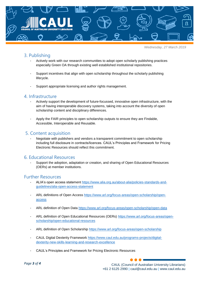

*Wednesday, 27 March 2019*

## 3. Publishing

- Actively work with our research communities to adopt open scholarly publishing practices especially Green OA through existing well established institutional repositories.
- Support incentives that align with open scholarship throughout the scholarly publishing lifecycle.
- Support appropriate licensing and author rights management.

## 4. Infrastructure

- Actively support the development of future-focussed, innovative open infrastructure, with the aim of having interoperable discovery systems, taking into account the diversity of open scholarship content and disciplinary differences.
- Apply the FAIR principles to open scholarship outputs to ensure they are Findable, Accessible, Interoperable and Reusable.

## 5. Content acquisition

Negotiate with publishers and vendors a transparent commitment to open scholarship including full disclosure in contracts/licences. CAUL's Principles and Framework for Pricing Electronic Resources should reflect this commitment.

#### 6. Educational Resources

- Support the adoption, adaptation or creation, and sharing of Open Educational Resources (OERs) at member institutions.

#### Further Resources

- ALIA's open access statement [https://www.alia.org.au/about-alia/policies-standards-and](https://www.alia.org.au/about-alia/policies-standards-and-guidelines/alia-open-access-statement)[guidelines/alia-open-access-statement](https://www.alia.org.au/about-alia/policies-standards-and-guidelines/alia-open-access-statement)
- ARL definitions of Open Access [https://www.arl.org/focus-areas/open-scholarship/open](https://www.arl.org/focus-areas/open-scholarship/open-access)[access](https://www.arl.org/focus-areas/open-scholarship/open-access)
- ARL definition of Open Data<https://www.arl.org/focus-areas/open-scholarship/open-data>
- ARL definition of Open Educational Resources (OERs) [https://www.arl.org/focus-areas/open](https://www.arl.org/focus-areas/open-scholarship/open-educational-resources)[scholarship/open-educational-resources](https://www.arl.org/focus-areas/open-scholarship/open-educational-resources)
- ARL definition of Open Scholarship<https://www.arl.org/focus-areas/open-scholarship>
- CAUL Digital Dexterity Framework [https://www.caul.edu.au/programs-projects/digital](https://www.caul.edu.au/programs-projects/digital-dexterity-new-skills-learning-and-research-excellence)[dexterity-new-skills-learning-and-research-excellence](https://www.caul.edu.au/programs-projects/digital-dexterity-new-skills-learning-and-research-excellence)
- CAUL's Principles and Framework for Pricing Electronic Resources

CAUL (Council of Australian University Librarians) +61 2 6125 2990 | caul@caul.edu.au | www.caul.edu.au